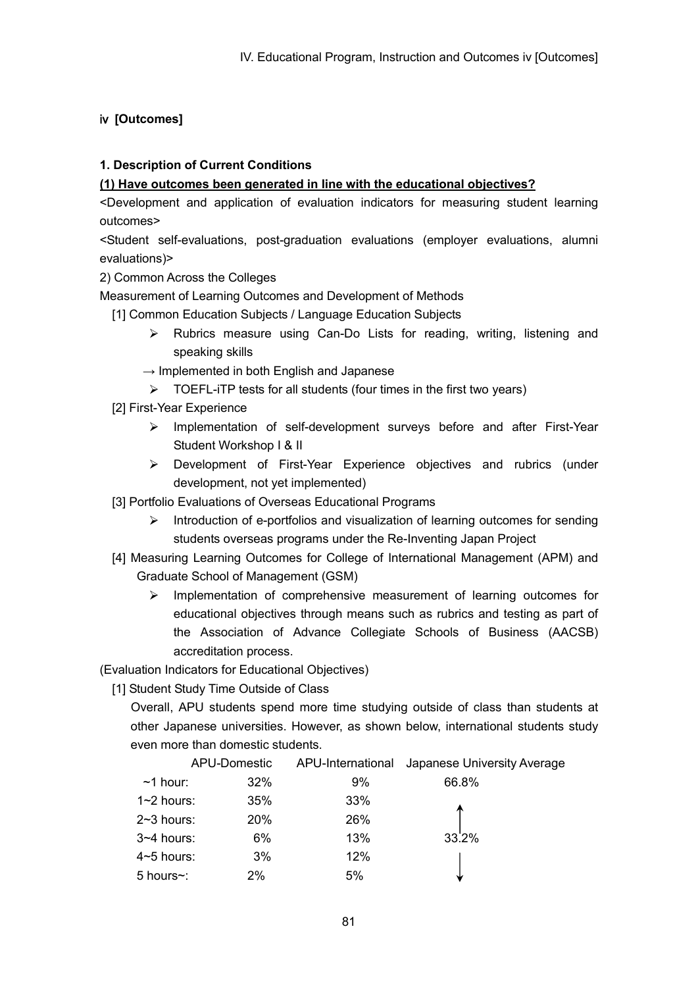# ⅳ **[Outcomes]**

# **1. Description of Current Conditions**

### **(1) Have outcomes been generated in line with the educational objectives?**

<Development and application of evaluation indicators for measuring student learning outcomes>

<Student self-evaluations, post-graduation evaluations (employer evaluations, alumni evaluations)>

2) Common Across the Colleges

Measurement of Learning Outcomes and Development of Methods

- [1] Common Education Subjects / Language Education Subjects
	- Rubrics measure using Can-Do Lists for reading, writing, listening and  $\triangleright$ speaking skills
	- $\rightarrow$  Implemented in both English and Japanese
	- $\triangleright$  TOEFL-iTP tests for all students (four times in the first two years)
- [2] First-Year Experience
	- $\triangleright$  Implementation of self-development surveys before and after First-Year Student Workshop I & II
	- Development of First-Year Experience objectives and rubrics (under development, not yet implemented)
- [3] Portfolio Evaluations of Overseas Educational Programs
	- Introduction of e-portfolios and visualization of learning outcomes for sending  $\blacktriangleright$ students overseas programs under the Re-Inventing Japan Project
- [4] Measuring Learning Outcomes for College of International Management (APM) and Graduate School of Management (GSM)
	- Implementation of comprehensive measurement of learning outcomes for  $\triangleright$ educational objectives through means such as rubrics and testing as part of the Association of Advance Collegiate Schools of Business (AACSB) accreditation process.

(Evaluation Indicators for Educational Objectives)

[1] Student Study Time Outside of Class

Overall, APU students spend more time studying outside of class than students at other Japanese universities. However, as shown below, international students study even more than domestic students.

|                | APU-Domestic | APU-International | Japanese University Average |
|----------------|--------------|-------------------|-----------------------------|
| $~1$ hour:     | 32%          | 9%                | 66.8%                       |
| $1~2$ hours:   | 35%          | 33%               |                             |
| $2~3$ hours:   | 20%          | 26%               |                             |
| $3 - 4$ hours: | 6%           | 13%               | 33.2%                       |
| 4~5 hours:     | 3%           | 12%               |                             |
| 5 hours~:      | 2%           | 5%                |                             |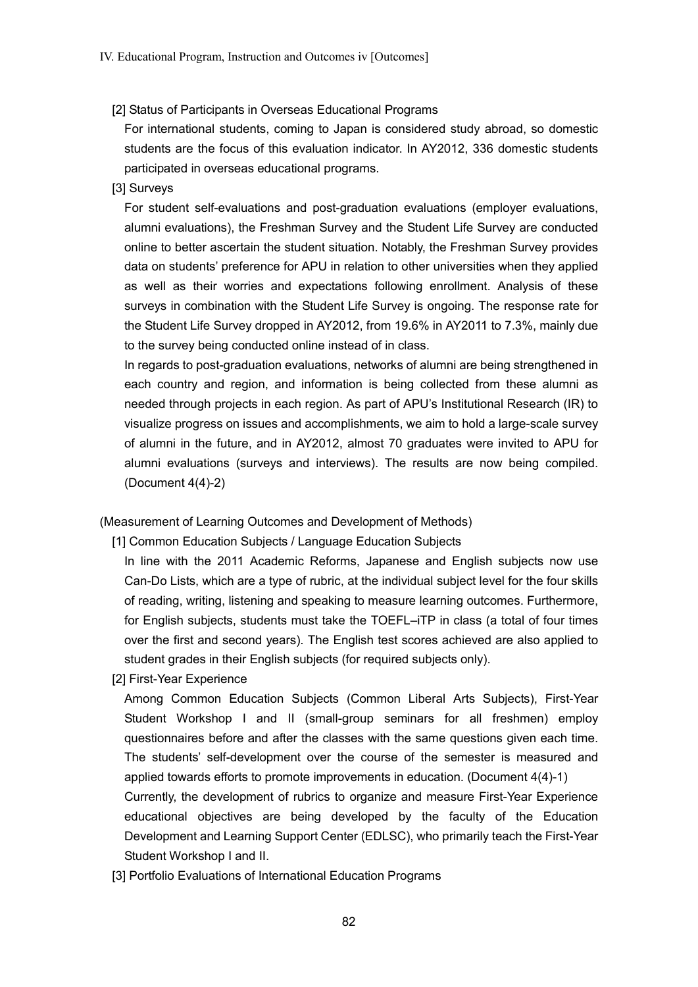### [2] Status of Participants in Overseas Educational Programs

For international students, coming to Japan is considered study abroad, so domestic students are the focus of this evaluation indicator. In AY2012, 336 domestic students participated in overseas educational programs.

### [3] Surveys

For student self-evaluations and post-graduation evaluations (employer evaluations, alumni evaluations), the Freshman Survey and the Student Life Survey are conducted online to better ascertain the student situation. Notably, the Freshman Survey provides data on students' preference for APU in relation to other universities when they applied as well as their worries and expectations following enrollment. Analysis of these surveys in combination with the Student Life Survey is ongoing. The response rate for the Student Life Survey dropped in AY2012, from 19.6% in AY2011 to 7.3%, mainly due to the survey being conducted online instead of in class.

In regards to post-graduation evaluations, networks of alumni are being strengthened in each country and region, and information is being collected from these alumni as needed through projects in each region. As part of APU's Institutional Research (IR) to visualize progress on issues and accomplishments, we aim to hold a large-scale survey of alumni in the future, and in AY2012, almost 70 graduates were invited to APU for alumni evaluations (surveys and interviews). The results are now being compiled. (Document 4(4)-2)

(Measurement of Learning Outcomes and Development of Methods)

[1] Common Education Subjects / Language Education Subjects

In line with the 2011 Academic Reforms, Japanese and English subjects now use Can-Do Lists, which are a type of rubric, at the individual subject level for the four skills of reading, writing, listening and speaking to measure learning outcomes. Furthermore, for English subjects, students must take the TOEFL–iTP in class (a total of four times over the first and second years). The English test scores achieved are also applied to student grades in their English subjects (for required subjects only).

[2] First-Year Experience

Among Common Education Subjects (Common Liberal Arts Subjects), First-Year Student Workshop I and II (small-group seminars for all freshmen) employ questionnaires before and after the classes with the same questions given each time. The students' self-development over the course of the semester is measured and applied towards efforts to promote improvements in education. (Document 4(4)-1)

Currently, the development of rubrics to organize and measure First-Year Experience educational objectives are being developed by the faculty of the Education Development and Learning Support Center (EDLSC), who primarily teach the First-Year Student Workshop I and II.

[3] Portfolio Evaluations of International Education Programs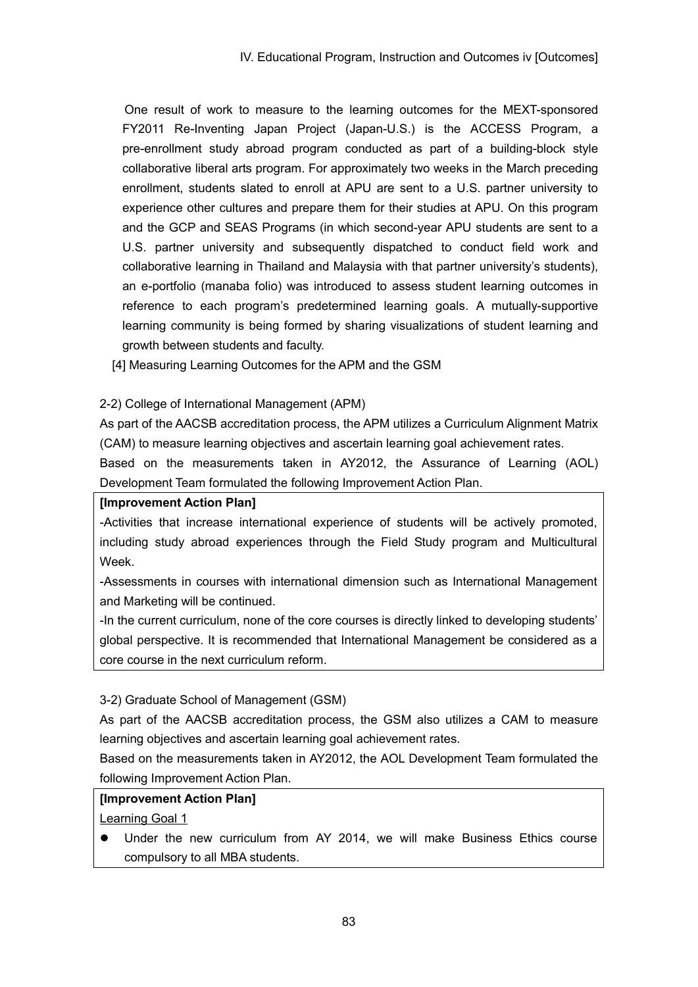One result of work to measure to the learning outcomes for the MEXT-sponsored FY2011 Re-Inventing Japan Project (Japan-U.S.) is the ACCESS Program, a pre-enrollment study abroad program conducted as part of a building-block style collaborative liberal arts program. For approximately two weeks in the March preceding enrollment, students slated to enroll at APU are sent to a U.S. partner university to experience other cultures and prepare them for their studies at APU. On this program and the GCP and SEAS Programs (in which second-year APU students are sent to a U.S. partner university and subsequently dispatched to conduct field work and collaborative learning in Thailand and Malaysia with that partner university's students), an e-portfolio (manaba folio) was introduced to assess student learning outcomes in reference to each program's predetermined learning goals. A mutually-supportive learning community is being formed by sharing visualizations of student learning and growth between students and faculty.

[4] Measuring Learning Outcomes for the APM and the GSM

## 2-2) College of International Management (APM)

As part of the AACSB accreditation process, the APM utilizes a Curriculum Alignment Matrix (CAM) to measure learning objectives and ascertain learning goal achievement rates.

Based on the measurements taken in AY2012, the Assurance of Learning (AOL) Development Team formulated the following Improvement Action Plan.

### **[Improvement Action Plan]**

-Activities that increase international experience of students will be actively promoted, including study abroad experiences through the Field Study program and Multicultural Week.

-Assessments in courses with international dimension such as International Management and Marketing will be continued.

-In the current curriculum, none of the core courses is directly linked to developing students' global perspective. It is recommended that International Management be considered as a core course in the next curriculum reform.

3-2) Graduate School of Management (GSM)

As part of the AACSB accreditation process, the GSM also utilizes a CAM to measure learning objectives and ascertain learning goal achievement rates.

Based on the measurements taken in AY2012, the AOL Development Team formulated the following Improvement Action Plan.

# **[Improvement Action Plan]**

Learning Goal 1

 $\bullet$ Under the new curriculum from AY 2014, we will make Business Ethics course compulsory to all MBA students.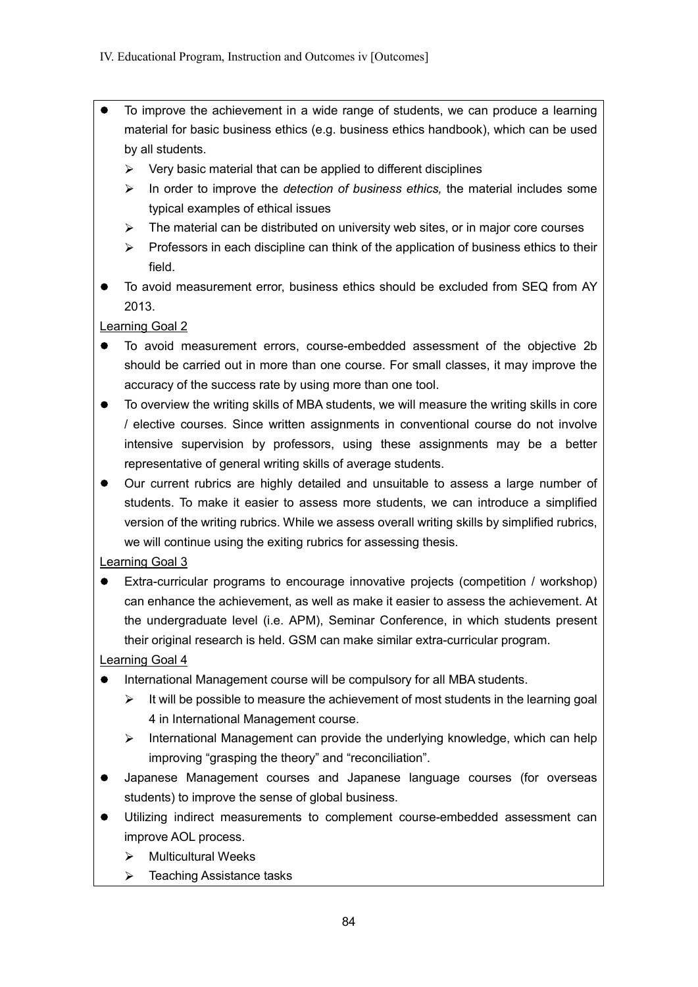- To improve the achievement in a wide range of students, we can produce a learning material for basic business ethics (e.g. business ethics handbook), which can be used by all students.
	- $\triangleright$  Very basic material that can be applied to different disciplines
	- In order to improve the *detection of business ethics,* the material includes some typical examples of ethical issues
	- $\triangleright$  The material can be distributed on university web sites, or in major core courses
	- $\triangleright$  Professors in each discipline can think of the application of business ethics to their field.
- To avoid measurement error, business ethics should be excluded from SEQ from AY 2013.

Learning Goal 2

- To avoid measurement errors, course-embedded assessment of the objective 2b should be carried out in more than one course. For small classes, it may improve the accuracy of the success rate by using more than one tool.
- To overview the writing skills of MBA students, we will measure the writing skills in core  $\bullet$ / elective courses. Since written assignments in conventional course do not involve intensive supervision by professors, using these assignments may be a better representative of general writing skills of average students.
- $\bullet$ Our current rubrics are highly detailed and unsuitable to assess a large number of students. To make it easier to assess more students, we can introduce a simplified version of the writing rubrics. While we assess overall writing skills by simplified rubrics, we will continue using the exiting rubrics for assessing thesis.

Learning Goal 3

Extra-curricular programs to encourage innovative projects (competition / workshop) can enhance the achievement, as well as make it easier to assess the achievement. At the undergraduate level (i.e. APM), Seminar Conference, in which students present their original research is held. GSM can make similar extra-curricular program.

Learning Goal 4

- $\bullet$ International Management course will be compulsory for all MBA students.
	- $\triangleright$  It will be possible to measure the achievement of most students in the learning goal 4 in International Management course.
	- $\triangleright$  International Management can provide the underlying knowledge, which can help improving "grasping the theory" and "reconciliation".
- Japanese Management courses and Japanese language courses (for overseas  $\bullet$ students) to improve the sense of global business.
- Utilizing indirect measurements to complement course-embedded assessment can improve AOL process.
	- $\triangleright$  Multicultural Weeks
	- $\triangleright$  Teaching Assistance tasks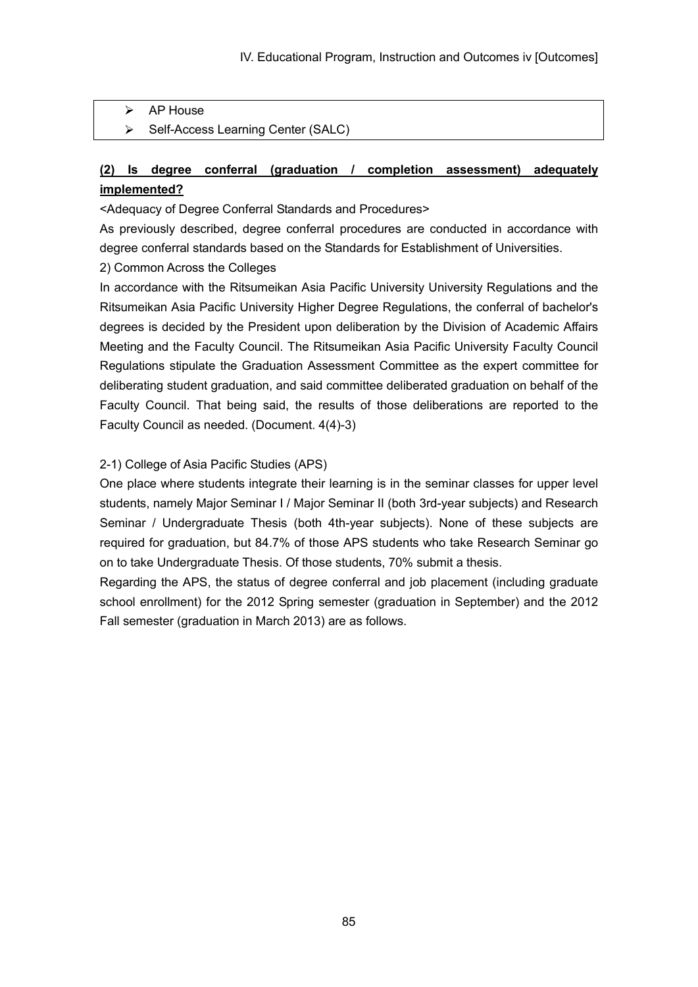- AP House  $\blacktriangleright$
- $\blacktriangleright$ Self-Access Learning Center (SALC)

# **(2) Is degree conferral (graduation / completion assessment) adequately implemented?**

<Adequacy of Degree Conferral Standards and Procedures>

As previously described, degree conferral procedures are conducted in accordance with degree conferral standards based on the Standards for Establishment of Universities.

2) Common Across the Colleges

In accordance with the Ritsumeikan Asia Pacific University University Regulations and the Ritsumeikan Asia Pacific University Higher Degree Regulations, the conferral of bachelor's degrees is decided by the President upon deliberation by the Division of Academic Affairs Meeting and the Faculty Council. The Ritsumeikan Asia Pacific University Faculty Council Regulations stipulate the Graduation Assessment Committee as the expert committee for deliberating student graduation, and said committee deliberated graduation on behalf of the Faculty Council. That being said, the results of those deliberations are reported to the Faculty Council as needed. (Document. 4(4)-3)

### 2-1) College of Asia Pacific Studies (APS)

One place where students integrate their learning is in the seminar classes for upper level students, namely Major Seminar I / Major Seminar II (both 3rd-year subjects) and Research Seminar / Undergraduate Thesis (both 4th-year subjects). None of these subjects are required for graduation, but 84.7% of those APS students who take Research Seminar go on to take Undergraduate Thesis. Of those students, 70% submit a thesis.

Regarding the APS, the status of degree conferral and job placement (including graduate school enrollment) for the 2012 Spring semester (graduation in September) and the 2012 Fall semester (graduation in March 2013) are as follows.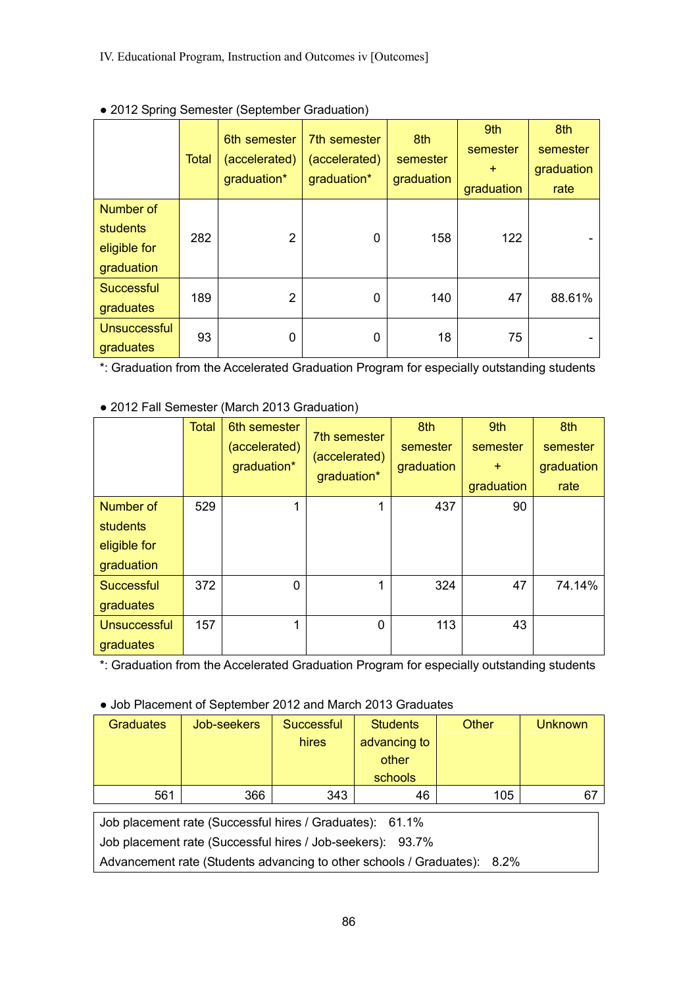|                                                            | <b>Total</b> | 6th semester<br>(accelerated)<br>graduation* | 7th semester<br>(accelerated)<br>graduation* | 8th<br>semester<br>graduation | 9th<br>semester<br>$\ddot{}$<br>graduation | 8th<br>semester<br>graduation<br>rate |
|------------------------------------------------------------|--------------|----------------------------------------------|----------------------------------------------|-------------------------------|--------------------------------------------|---------------------------------------|
| <b>Number of</b><br>students<br>eligible for<br>graduation | 282          | $\overline{2}$                               | $\Omega$                                     | 158                           | 122                                        |                                       |
| <b>Successful</b><br>graduates                             | 189          | $\overline{2}$                               | $\Omega$                                     | 140                           | 47                                         | 88.61%                                |
| <b>Unsuccessful</b><br>graduates                           | 93           | 0                                            | 0                                            | 18                            | 75                                         |                                       |

## ● 2012 Spring Semester (September Graduation)

\*: Graduation from the Accelerated Graduation Program for especially outstanding students

|                                                     | Total | 6th semester<br>(accelerated)<br>graduation* | 7th semester<br>(accelerated)<br>graduation* | 8th<br>semester<br>graduation | 9th<br>semester<br>$+$<br>graduation | 8th<br>semester<br>graduation<br>rate |
|-----------------------------------------------------|-------|----------------------------------------------|----------------------------------------------|-------------------------------|--------------------------------------|---------------------------------------|
| Number of<br>students<br>eligible for<br>graduation | 529   |                                              | 1                                            | 437                           | 90                                   |                                       |
| <b>Successful</b><br>graduates                      | 372   | $\Omega$                                     | 1                                            | 324                           | 47                                   | 74.14%                                |
| <b>Unsuccessful</b><br>graduates                    | 157   | 4                                            | 0                                            | 113                           | 43                                   |                                       |

# ● 2012 Fall Semester (March 2013 Graduation)

\*: Graduation from the Accelerated Graduation Program for especially outstanding students

### ● Job Placement of September 2012 and March 2013 Graduates

| <b>Graduates</b> | Job-seekers | Successful<br>hires | <b>Students</b><br>advancing to<br>other<br>schools | <b>Other</b> | <b>Unknown</b> |
|------------------|-------------|---------------------|-----------------------------------------------------|--------------|----------------|
| 561              | 366         | 343                 | 46                                                  | 105          | 67             |

Job placement rate (Successful hires / Graduates): 61.1%

Job placement rate (Successful hires / Job-seekers): 93.7%

Advancement rate (Students advancing to other schools / Graduates): 8.2%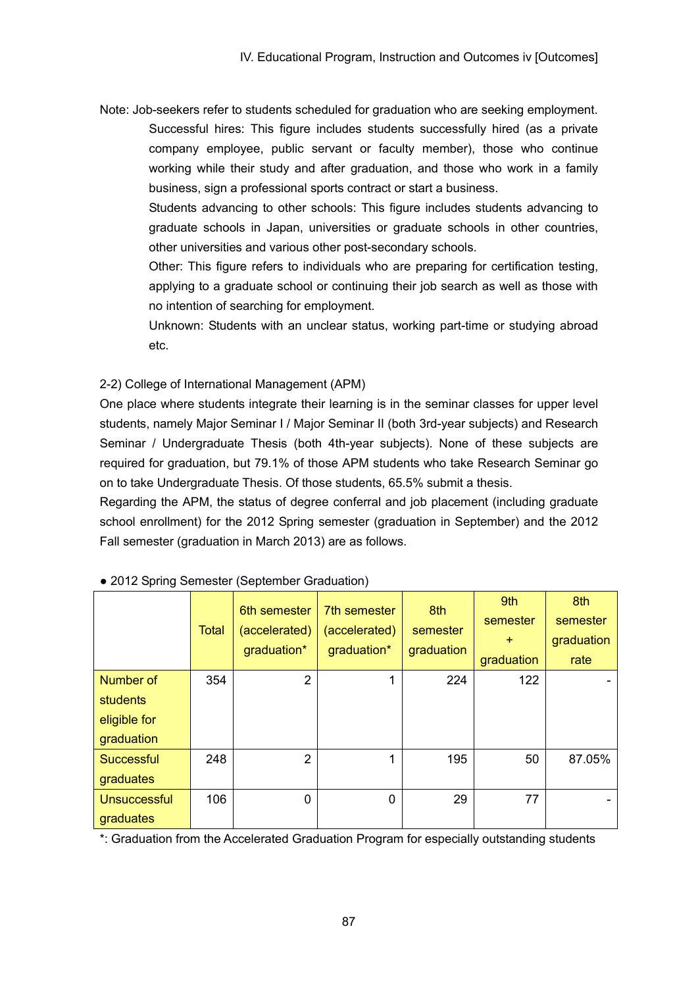Note: Job-seekers refer to students scheduled for graduation who are seeking employment. Successful hires: This figure includes students successfully hired (as a private company employee, public servant or faculty member), those who continue working while their study and after graduation, and those who work in a family business, sign a professional sports contract or start a business.

Students advancing to other schools: This figure includes students advancing to graduate schools in Japan, universities or graduate schools in other countries, other universities and various other post-secondary schools.

Other: This figure refers to individuals who are preparing for certification testing, applying to a graduate school or continuing their job search as well as those with no intention of searching for employment.

Unknown: Students with an unclear status, working part-time or studying abroad etc.

2-2) College of International Management (APM)

One place where students integrate their learning is in the seminar classes for upper level students, namely Major Seminar I / Major Seminar II (both 3rd-year subjects) and Research Seminar / Undergraduate Thesis (both 4th-year subjects). None of these subjects are required for graduation, but 79.1% of those APM students who take Research Seminar go on to take Undergraduate Thesis. Of those students, 65.5% submit a thesis.

Regarding the APM, the status of degree conferral and job placement (including graduate school enrollment) for the 2012 Spring semester (graduation in September) and the 2012 Fall semester (graduation in March 2013) are as follows.

|                                                            | <b>Total</b> | 6th semester<br>(accelerated)<br>graduation* | 7th semester<br>(accelerated)<br>graduation* | 8th<br>semester<br>graduation | 9th<br>semester<br>$+$<br>graduation | 8th<br>semester<br>graduation<br>rate |
|------------------------------------------------------------|--------------|----------------------------------------------|----------------------------------------------|-------------------------------|--------------------------------------|---------------------------------------|
| Number of<br><b>students</b><br>eligible for<br>graduation | 354          | $\overline{2}$                               | 1                                            | 224                           | 122                                  |                                       |
| Successful<br>graduates                                    | 248          | $\overline{2}$                               | 1                                            | 195                           | 50                                   | 87.05%                                |
| Unsuccessful<br>graduates                                  | 106          | 0                                            | 0                                            | 29                            | 77                                   |                                       |

### ● 2012 Spring Semester (September Graduation)

\*: Graduation from the Accelerated Graduation Program for especially outstanding students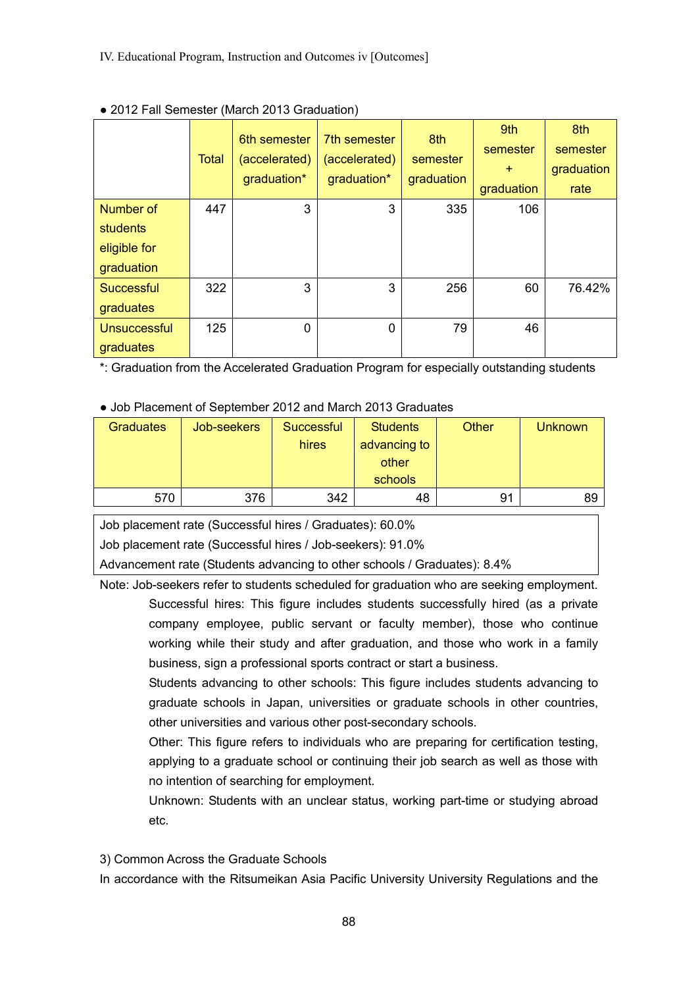|                                                     | <b>Total</b> | 6th semester<br>(accelerated)<br>graduation* | 7th semester<br>(accelerated)<br>graduation* | 8th<br>semester<br>graduation | 9th<br>semester<br>$+$<br>graduation | 8th<br>semester<br>graduation<br>rate |
|-----------------------------------------------------|--------------|----------------------------------------------|----------------------------------------------|-------------------------------|--------------------------------------|---------------------------------------|
| Number of<br>students<br>eligible for<br>graduation | 447          | 3                                            | 3                                            | 335                           | 106                                  |                                       |
| Successful<br>graduates                             | 322          | 3                                            | 3                                            | 256                           | 60                                   | 76.42%                                |
| <b>Unsuccessful</b><br>graduates                    | 125          | $\Omega$                                     | $\Omega$                                     | 79                            | 46                                   |                                       |

### • 2012 Fall Semester (March 2013 Graduation)

\*: Graduation from the Accelerated Graduation Program for especially outstanding students

### • Job Placement of September 2012 and March 2013 Graduates

| <b>Graduates</b> | Job-seekers | Successful<br>hires | <b>Students</b><br>advancing to<br>other<br>schools | <b>Other</b> | <b>Unknown</b> |
|------------------|-------------|---------------------|-----------------------------------------------------|--------------|----------------|
| 570              | 376         | 342                 | 48                                                  | 91           | 89             |

Job placement rate (Successful hires / Graduates): 60.0%

Job placement rate (Successful hires / Job-seekers): 91.0%

Advancement rate (Students advancing to other schools / Graduates): 8.4%

Note: Job-seekers refer to students scheduled for graduation who are seeking employment. Successful hires: This figure includes students successfully hired (as a private company employee, public servant or faculty member), those who continue working while their study and after graduation, and those who work in a family business, sign a professional sports contract or start a business.

Students advancing to other schools: This figure includes students advancing to graduate schools in Japan, universities or graduate schools in other countries, other universities and various other post-secondary schools.

Other: This figure refers to individuals who are preparing for certification testing, applying to a graduate school or continuing their job search as well as those with no intention of searching for employment.

Unknown: Students with an unclear status, working part-time or studying abroad etc.

3) Common Across the Graduate Schools

In accordance with the Ritsumeikan Asia Pacific University University Regulations and the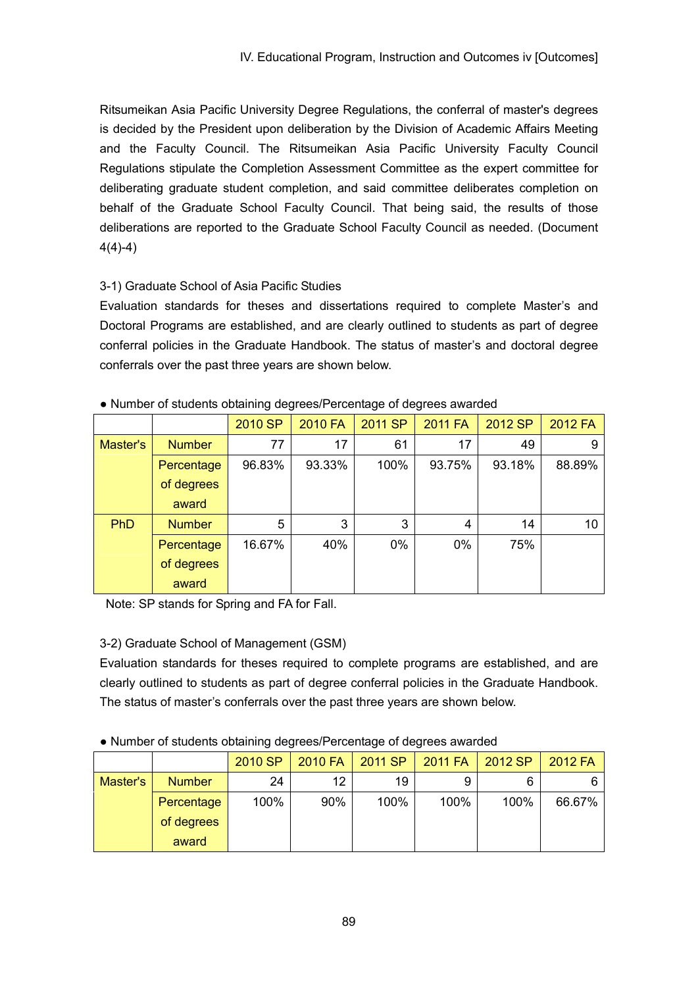Ritsumeikan Asia Pacific University Degree Regulations, the conferral of master's degrees is decided by the President upon deliberation by the Division of Academic Affairs Meeting and the Faculty Council. The Ritsumeikan Asia Pacific University Faculty Council Regulations stipulate the Completion Assessment Committee as the expert committee for deliberating graduate student completion, and said committee deliberates completion on behalf of the Graduate School Faculty Council. That being said, the results of those deliberations are reported to the Graduate School Faculty Council as needed. (Document 4(4)-4)

# 3-1) Graduate School of Asia Pacific Studies

Evaluation standards for theses and dissertations required to complete Master's and Doctoral Programs are established, and are clearly outlined to students as part of degree conferral policies in the Graduate Handbook. The status of master's and doctoral degree conferrals over the past three years are shown below.

|            |               | 2010 SP | 2010 FA | 2011 SP | <b>2011 FA</b> | 2012 SP | 2012 FA |
|------------|---------------|---------|---------|---------|----------------|---------|---------|
| Master's   | <b>Number</b> | 77      | 17      | 61      | 17             | 49      | 9       |
|            | Percentage    | 96.83%  | 93.33%  | 100%    | 93.75%         | 93.18%  | 88.89%  |
|            | of degrees    |         |         |         |                |         |         |
|            | award         |         |         |         |                |         |         |
| <b>PhD</b> | <b>Number</b> | 5       | 3       | 3       | 4              | 14      | 10      |
|            | Percentage    | 16.67%  | 40%     | 0%      | 0%             | 75%     |         |
|            | of degrees    |         |         |         |                |         |         |
|            | award         |         |         |         |                |         |         |

# • Number of students obtaining degrees/Percentage of degrees awarded

Note: SP stands for Spring and FA for Fall.

# 3-2) Graduate School of Management (GSM)

Evaluation standards for theses required to complete programs are established, and are clearly outlined to students as part of degree conferral policies in the Graduate Handbook. The status of master's conferrals over the past three years are shown below.

# ● Number of students obtaining degrees/Percentage of degrees awarded

|          |               | 2010 SP | 2010 FA | 2011 SP | 2011 FA | 2012 SP | 2012 FA |
|----------|---------------|---------|---------|---------|---------|---------|---------|
| Master's | <b>Number</b> | 24      | 12      | 19      |         | 6       |         |
|          | Percentage    | 100%    | 90%     | 100%    | 100%    | 100%    | 66.67%  |
|          | of degrees    |         |         |         |         |         |         |
|          | award         |         |         |         |         |         |         |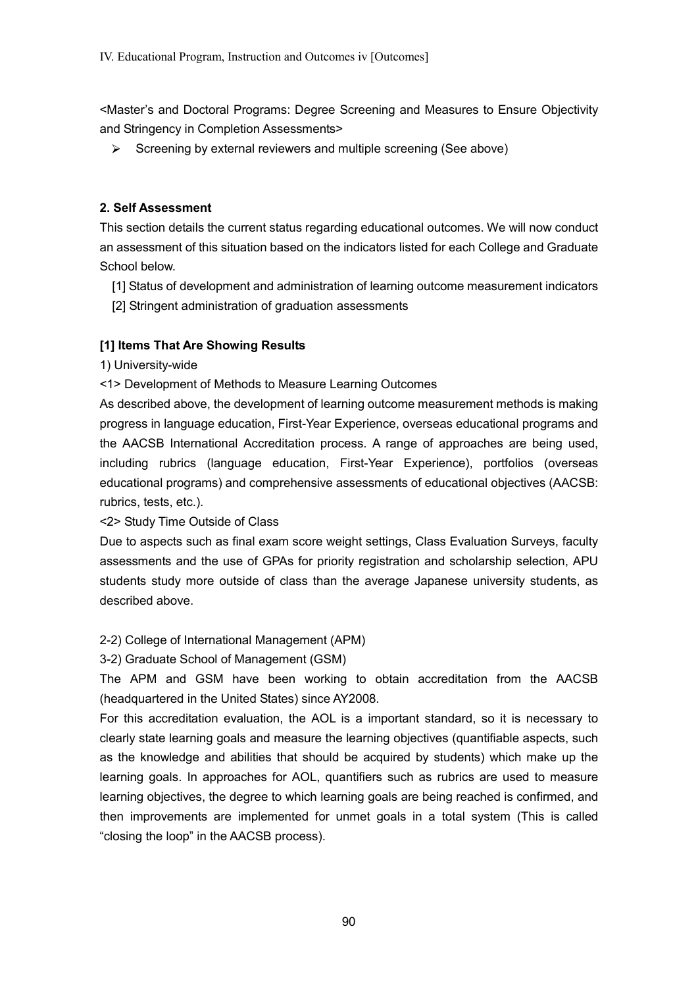<Master's and Doctoral Programs: Degree Screening and Measures to Ensure Objectivity and Stringency in Completion Assessments>

 $\triangleright$  Screening by external reviewers and multiple screening (See above)

# **2. Self Assessment**

This section details the current status regarding educational outcomes. We will now conduct an assessment of this situation based on the indicators listed for each College and Graduate School below.

- [1] Status of development and administration of learning outcome measurement indicators
- [2] Stringent administration of graduation assessments

# **[1] Items That Are Showing Results**

1) University-wide

<1> Development of Methods to Measure Learning Outcomes

As described above, the development of learning outcome measurement methods is making progress in language education, First-Year Experience, overseas educational programs and the AACSB International Accreditation process. A range of approaches are being used, including rubrics (language education, First-Year Experience), portfolios (overseas educational programs) and comprehensive assessments of educational objectives (AACSB: rubrics, tests, etc.).

<2> Study Time Outside of Class

Due to aspects such as final exam score weight settings, Class Evaluation Surveys, faculty assessments and the use of GPAs for priority registration and scholarship selection, APU students study more outside of class than the average Japanese university students, as described above.

# 2-2) College of International Management (APM)

# 3-2) Graduate School of Management (GSM)

The APM and GSM have been working to obtain accreditation from the AACSB (headquartered in the United States) since AY2008.

For this accreditation evaluation, the AOL is a important standard, so it is necessary to clearly state learning goals and measure the learning objectives (quantifiable aspects, such as the knowledge and abilities that should be acquired by students) which make up the learning goals. In approaches for AOL, quantifiers such as rubrics are used to measure learning objectives, the degree to which learning goals are being reached is confirmed, and then improvements are implemented for unmet goals in a total system (This is called "closing the loop" in the AACSB process).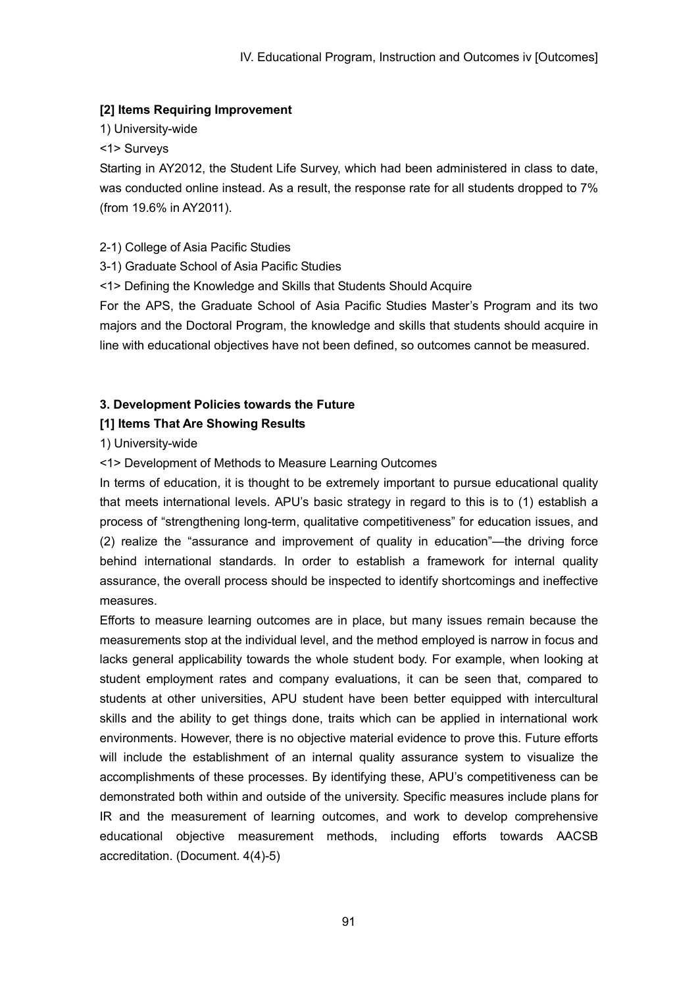# **[2] Items Requiring Improvement**

1) University-wide

<1> Surveys

Starting in AY2012, the Student Life Survey, which had been administered in class to date, was conducted online instead. As a result, the response rate for all students dropped to 7% (from 19.6% in AY2011).

# 2-1) College of Asia Pacific Studies

- 3-1) Graduate School of Asia Pacific Studies
- <1> Defining the Knowledge and Skills that Students Should Acquire

For the APS, the Graduate School of Asia Pacific Studies Master's Program and its two majors and the Doctoral Program, the knowledge and skills that students should acquire in line with educational objectives have not been defined, so outcomes cannot be measured.

# **3. Development Policies towards the Future**

## **[1] Items That Are Showing Results**

1) University-wide

<1> Development of Methods to Measure Learning Outcomes

In terms of education, it is thought to be extremely important to pursue educational quality that meets international levels. APU's basic strategy in regard to this is to (1) establish a process of "strengthening long-term, qualitative competitiveness" for education issues, and (2) realize the "assurance and improvement of quality in education"—the driving force behind international standards. In order to establish a framework for internal quality assurance, the overall process should be inspected to identify shortcomings and ineffective measures.

Efforts to measure learning outcomes are in place, but many issues remain because the measurements stop at the individual level, and the method employed is narrow in focus and lacks general applicability towards the whole student body. For example, when looking at student employment rates and company evaluations, it can be seen that, compared to students at other universities, APU student have been better equipped with intercultural skills and the ability to get things done, traits which can be applied in international work environments. However, there is no objective material evidence to prove this. Future efforts will include the establishment of an internal quality assurance system to visualize the accomplishments of these processes. By identifying these, APU's competitiveness can be demonstrated both within and outside of the university. Specific measures include plans for IR and the measurement of learning outcomes, and work to develop comprehensive educational objective measurement methods, including efforts towards AACSB accreditation. (Document. 4(4)-5)